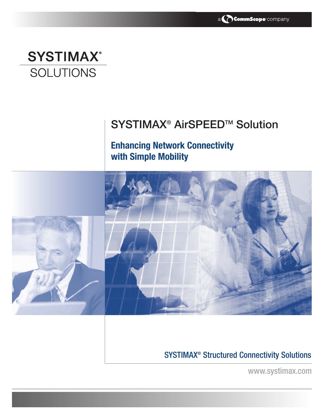

# **SYSTIMAX® SOLUTIONS**

## SYSTIMAX<sup>®</sup> AirSPEED™ Solution

**Enhancing Network Connectivity with Simple Mobility**



## SYSTIMAX® Structured Connectivity Solutions

www.systimax.com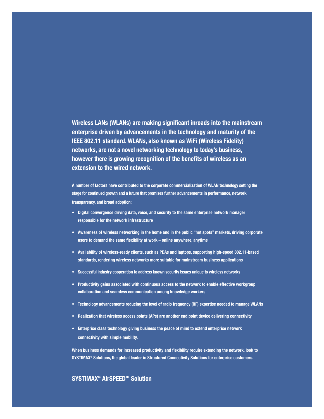**Wireless LANs (WLANs) are making significant inroads into the mainstream enterprise driven by advancements in the technology and maturity of the IEEE 802.11 standard. WLANs, also known as WiFi (Wireless Fidelity) networks, are not a novel networking technology to today's business, however there is growing recognition of the benefits of wireless as an extension to the wired network.**

**A number of factors have contributed to the corporate commercialization of WLAN technology setting the stage for continued growth and a future that promises further advancements in performance, network transparency, and broad adoption:**

- **• Digital convergence driving data, voice, and security to the same enterprise network manager responsible for the network infrastructure**
- **Awareness of wireless networking in the home and in the public "hot spots" markets, driving corporate users to demand the same flexibility at work – online anywhere, anytime**
- **Availability of wireless-ready clients, such as PDAs and laptops, supporting high-speed 802.11-based standards, rendering wireless networks more suitable for mainstream business applications**
- **Successful industry cooperation to address known security issues unique to wireless networks**
- **Productivity gains associated with continuous access to the network to enable effective workgroup collaboration and seamless communication among knowledge workers**
- **Technology advancements reducing the level of radio frequency (RF) expertise needed to manage WLANs**
- **• Realization that wireless access points (APs) are another end point device delivering connectivity**
- **• Enterprise class technology giving business the peace of mind to extend enterprise network connectivity with simple mobility.**

**When business demands for increased productivity and flexibility require extending the network, look to SYSTIMAX® Solutions, the global leader in Structured Connectivity Solutions for enterprise customers.**

### **SYSTIMAX® AirSPEEDTM Solution**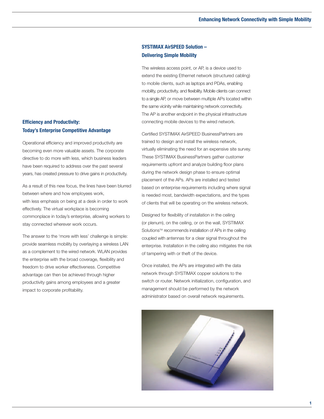## **Efficiency and Productivity: Today's Enterprise Competitive Advantage**

Operational efficiency and improved productivity are becoming even more valuable assets. The corporate directive to do more with less, which business leaders have been required to address over the past several years, has created pressure to drive gains in productivity.

As a result of this new focus, the lines have been blurred between where and how employees work, with less emphasis on being at a desk in order to work effectively. The virtual workplace is becoming commonplace in today's enterprise, allowing workers to stay connected wherever work occurs.

The answer to the 'more with less' challenge is simple: provide seamless mobility by overlaying a wireless LAN as a complement to the wired network. WLAN provides the enterprise with the broad coverage, flexibility and freedom to drive worker effectiveness. Competitive advantage can then be achieved through higher productivity gains among employees and a greater impact to corporate profitability.

### **SYSTIMAX AirSPEED Solution – Delivering Simple Mobility**

The wireless access point, or AP, is a device used to extend the existing Ethernet network (structured cabling) to mobile clients, such as laptops and PDAs, enabling mobility, productivity, and flexibility. Mobile clients can connect to a single AP, or move between multiple APs located within the same vicinity while maintaining network connectivity. The AP is another endpoint in the physical infrastructure connecting mobile devices to the wired network.

Certified SYSTIMAX AirSPEED BusinessPartners are trained to design and install the wireless network, virtually eliminating the need for an expensive site survey. These SYSTIMAX BusinessPartners gather customer requirements upfront and analyze building floor plans during the network design phase to ensure optimal placement of the APs. APs are installed and tested based on enterprise requirements including where signal is needed most, bandwidth expectations, and the types of clients that will be operating on the wireless network.

Designed for flexibility of installation in the ceiling (or plenum), on the ceiling, or on the wall, SYSTIMAX Solutions™ recommends installation of APs in the ceiling coupled with antennas for a clear signal throughout the enterprise. Installation in the ceiling also mitigates the risk of tampering with or theft of the device.

Once installed, the APs are integrated with the data network through SYSTIMAX copper solutions to the switch or router. Network initialization, configuration, and management should be performed by the network administrator based on overall network requirements.

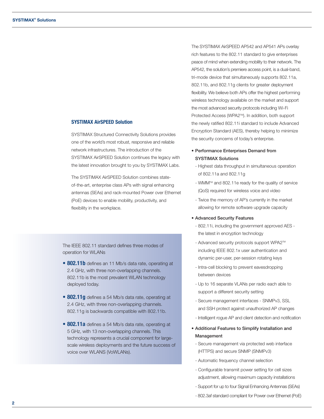#### **SYSTIMAX AirSPEED Solution**

SYSTIMAX Structured Connectivity Solutions provides one of the world's most robust, responsive and reliable network infrastructures. The introduction of the SYSTIMAX AirSPEED Solution continues the legacy with the latest innovation brought to you by SYSTIMAX Labs.

The SYSTIMAX AirSPEED Solution combines stateof-the-art, enterprise class APs with signal enhancing antennas (SEAs) and rack-mounted Power over Ethernet (PoE) devices to enable mobility, productivity, and flexibility in the workplace.

The IEEE 802.11 standard defines three modes of operation for WLANs

- **802.11b** defines an 11 Mb/s data rate, operating at 2.4 GHz, with three non-overlapping channels. 802.11b is the most prevalent WLAN technology deployed today.
- **802.11g** defines a 54 Mb/s data rate, operating at 2.4 GHz, with three non-overlapping channels. 802.11g is backwards compatible with 802.11b.
- **• 802.11a** defines a 54 Mb/s data rate, operating at 5 GHz, with 13 non-overlapping channels. This technology represents a crucial component for largescale wireless deployments and the future success of voice over WLANS (VoWLANs).

The SYSTIMAX AirSPEED AP542 and AP541 APs overlay rich features to the 802.11 standard to give enterprises peace of mind when extending mobility to their network. The AP542, the solution's premiere access point, is a dual-band, tri-mode device that simultaneously supports 802.11a, 802.11b, and 802.11g clients for greater deployment flexibility. We believe both APs offer the highest performing wireless technology available on the market and support the most advanced security protocols including Wi-Fi Protected Access (WPA2™). In addition, both support the newly ratified 802.11i standard to include Advanced Encryption Standard (AES), thereby helping to minimize the security concerns of today's enterprise.

- Performance Enterprises Demand from SYSTIMAX Solutions
	- Highest data throughput in simultaneous operation of 802.11a and 802.11g
	- WMMTM and 802.11e ready for the quality of service (QoS) required for wireless voice and video
	- Twice the memory of AP's currently in the market allowing for remote software upgrade capacity

#### • Advanced Security Features

- 802.11i, including the government approved AES the latest in encryption technology
- Advanced security protocols support WPA2™ including IEEE 802.1x user authentication and dynamic per-user, per-session rotating keys
- Intra-cell blocking to prevent eavesdropping between devices
- Up to 16 separate VLANs per radio each able to support a different security setting
- Secure management interfaces SNMPv3, SSL and SSH protect against unauthorized AP changes
- Intelligent rogue AP and client detection and notification
- Additional Features to Simplify Installation and Management
- Secure management via protected web interface (HTTPS) and secure SNMP (SNMPv3)
- Automatic frequency channel selection
- Configurable transmit power setting for cell sizes adjustment, allowing maximum capacity installations
- Support for up to four Signal Enhancing Antennas (SEAs)
- 802.3af standard compliant for Power over Ethernet (PoE)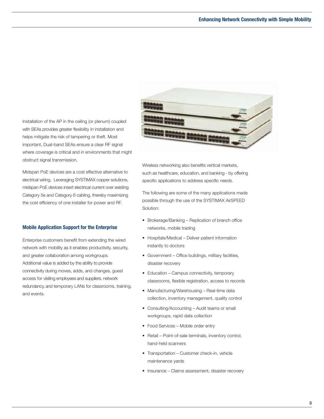Installation of the AP in the ceiling (or plenum) coupled with SEAs provides greater flexibility in installation and helps mitigate the risk of tampering or theft. Most important, Dual-band SEAs ensure a clear RF signal where coverage is critical and in environments that might obstruct signal transmission.

Midspan PoE devices are a cost effective alternative to electrical wiring. Leveraging SYSTIMAX copper solutions, midspan PoE devices insert electrical current over existing Category 5e and Category 6 cabling, thereby maximizing the cost efficiency of one installer for power and RF.

#### **Mobile Application Support for the Enterprise**

Enterprise customers benefit from extending the wired network with mobility as it enables productivity, security, and greater collaboration among workgroups. Additional value is added by the ability to provide connectivity during moves, adds, and changes, guest access for visiting employees and suppliers, network redundancy, and temporary LANs for classrooms, training, and events.



Wireless networking also benefits vertical markets, such as healthcare, education, and banking - by offering specific applications to address specific needs.

The following are some of the many applications made possible through the use of the SYSTIMAX AirSPEED Solution:

- Brokerage/Banking Replication of branch office networks, mobile trading
- Hospitals/Medical Deliver patient information instantly to doctors
- Government Office buildings, military facilities, disaster recovery
- Education Campus connectivity, temporary classrooms, flexible registration, access to records
- Manufacturing/Warehousing Real-time data collection, inventory management, quality control
- Consulting/Accounting Audit teams or small workgroups, rapid data collection
- Food Services Mobile order entry
- Retail Point-of-sale terminals, inventory control, hand-held scanners
- Transportation Customer check-in, vehicle maintenance yards
- Insurance Claims assessment, disaster recovery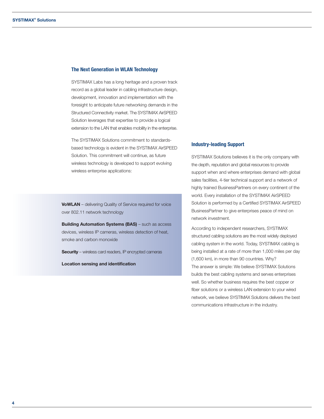#### **The Next Generation in WLAN Technology**

SYSTIMAX Labs has a long heritage and a proven track record as a global leader in cabling infrastructure design, development, innovation and implementation with the foresight to anticipate future networking demands in the Structured Connectivity market. The SYSTIMAX AirSPEED Solution leverages that expertise to provide a logical extension to the LAN that enables mobility in the enterprise.

The SYSTIMAX Solutions commitment to standardsbased technology is evident in the SYSTIMAX AirSPEED Solution. This commitment will continue, as future wireless technology is developed to support evolving wireless enterprise applications:

**VoWLAN** – delivering Quality of Service required for voice over 802.11 network technology

**Building Automation Systems (BAS)** – such as access devices, wireless IP cameras, wireless detection of heat, smoke and carbon monoxide

**Security** – wireless card readers, IP encrypted cameras

**Location sensing and identification**

#### **Industry-leading Support**

SYSTIMAX Solutions believes it is the only company with the depth, reputation and global resources to provide support when and where enterprises demand with global sales facilities, 4-tier technical support and a network of highly trained BusinessPartners on every continent of the world. Every installation of the SYSTIMAX AirSPEED Solution is performed by a Certified SYSTIMAX AirSPEED BusinessPartner to give enterprises peace of mind on network investment.

According to independent researchers, SYSTIMAX structured cabling solutions are the most widely deployed cabling system in the world. Today, SYSTIMAX cabling is being installed at a rate of more than 1,000 miles per day (1,600 km), in more than 90 countries. Why? The answer is simple: We believe SYSTIMAX Solutions builds the best cabling systems and serves enterprises well. So whether business requires the best copper or fiber solutions or a wireless LAN extension to your wired network, we believe SYSTIMAX Solutions delivers the best communications infrastructure in the industry.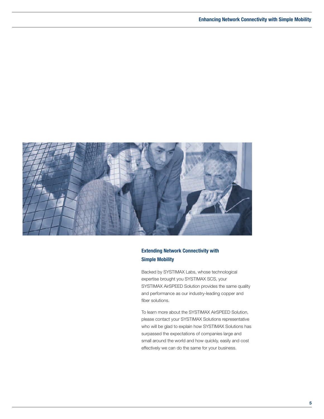

## **Extending Network Connectivity with Simple Mobility**

Backed by SYSTIMAX Labs, whose technological expertise brought you SYSTIMAX SCS, your SYSTIMAX AirSPEED Solution provides the same quality and performance as our industry-leading copper and fiber solutions.

To learn more about the SYSTIMAX AirSPEED Solution, please contact your SYSTIMAX Solutions representative who will be glad to explain how SYSTIMAX Solutions has surpassed the expectations of companies large and small around the world and how quickly, easily and cost effectively we can do the same for your business.